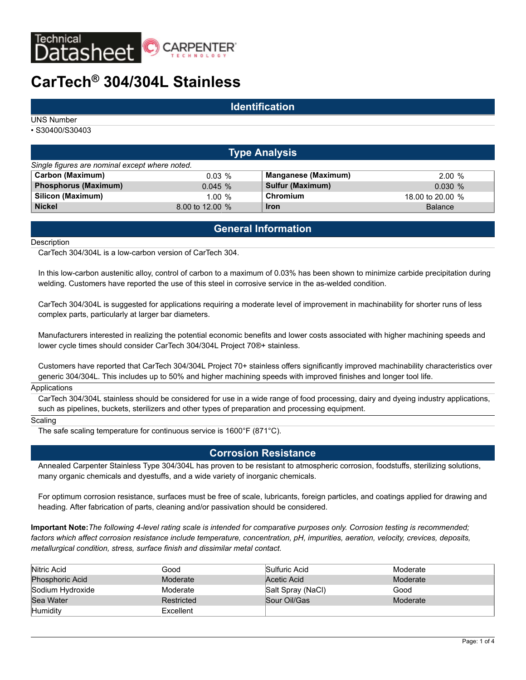

# **CarTech® 304/304L Stainless**

### **Identification**

UNS Number

• S30400/S30403

|                                                | <b>Type Analysis</b> |                            |                  |  |  |  |  |  |  |  |
|------------------------------------------------|----------------------|----------------------------|------------------|--|--|--|--|--|--|--|
| Single figures are nominal except where noted. |                      |                            |                  |  |  |  |  |  |  |  |
| Carbon (Maximum)                               | $0.03\%$             | <b>Manganese (Maximum)</b> | 2.00%            |  |  |  |  |  |  |  |
| Phosphorus (Maximum)                           | $0.045 \%$           | <b>Sulfur (Maximum)</b>    | 0.030%           |  |  |  |  |  |  |  |
| Silicon (Maximum)                              | 1.00%                | Chromium                   | 18.00 to 20.00 % |  |  |  |  |  |  |  |
| <b>Nickel</b>                                  | 8.00 to 12.00 %      | <b>Iron</b>                | <b>Balance</b>   |  |  |  |  |  |  |  |

# **General Information**

#### **Description**

CarTech 304/304L is a low-carbon version of CarTech 304.

In this low-carbon austenitic alloy, control of carbon to a maximum of 0.03% has been shown to minimize carbide precipitation during welding. Customers have reported the use of this steel in corrosive service in the as-welded condition.

CarTech 304/304L is suggested for applications requiring a moderate level of improvement in machinability for shorter runs of less complex parts, particularly at larger bar diameters.

Manufacturers interested in realizing the potential economic benefits and lower costs associated with higher machining speeds and lower cycle times should consider CarTech 304/304L Project 70®+ stainless.

Customers have reported that CarTech 304/304L Project 70+ stainless offers significantly improved machinability characteristics over generic 304/304L. This includes up to 50% and higher machining speeds with improved finishes and longer tool life.

#### Applications

CarTech 304/304L stainless should be considered for use in a wide range of food processing, dairy and dyeing industry applications, such as pipelines, buckets, sterilizers and other types of preparation and processing equipment.

#### **Scaling**

The safe scaling temperature for continuous service is 1600°F (871°C).

### **Corrosion Resistance**

Annealed Carpenter Stainless Type 304/304L has proven to be resistant to atmospheric corrosion, foodstuffs, sterilizing solutions, many organic chemicals and dyestuffs, and a wide variety of inorganic chemicals.

For optimum corrosion resistance, surfaces must be free of scale, lubricants, foreign particles, and coatings applied for drawing and heading. After fabrication of parts, cleaning and/or passivation should be considered.

**Important Note:***The following 4-level rating scale is intended for comparative purposes only. Corrosion testing is recommended; factors which affect corrosion resistance include temperature, concentration, pH, impurities, aeration, velocity, crevices, deposits, metallurgical condition, stress, surface finish and dissimilar metal contact.*

| Nitric Acid            | Good       | Sulfuric Acid     | Moderate |
|------------------------|------------|-------------------|----------|
| <b>Phosphoric Acid</b> | Moderate   | Acetic Acid       | Moderate |
| Sodium Hydroxide       | Moderate   | Salt Spray (NaCl) | Good     |
| Sea Water              | Restricted | Sour Oil/Gas      | Moderate |
| Humidity               | Excellent  |                   |          |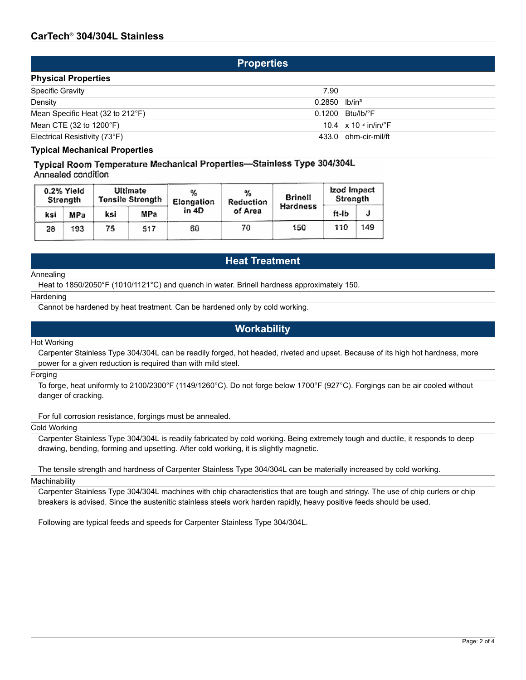### **Properties**

| <b>Physical Properties</b>                 |                                           |  |  |  |  |  |
|--------------------------------------------|-------------------------------------------|--|--|--|--|--|
| <b>Specific Gravity</b>                    | 7.90                                      |  |  |  |  |  |
| Density                                    | $0.2850$ lb/in <sup>3</sup>               |  |  |  |  |  |
| Mean Specific Heat (32 to 212°F)           | $0.1200$ Btu/lb/ $\degree$ F              |  |  |  |  |  |
| Mean CTE $(32 \text{ to } 1200 \degree F)$ | 10.4 $\times$ 10 $\cdot$ in/in/ $\cdot$ F |  |  |  |  |  |
| Electrical Resistivity (73°F)              | 433.0 ohm-cir-mil/ft                      |  |  |  |  |  |

### **Typical Mechanical Properties**

Typical Room Temperature Mechanical Properties-Stainless Type 304/304L Annealed condition

|     | 0.2% Yield<br>Strength |     | Ultimate<br>Tensile Strength | %<br>Elongation | %<br>Reduction | Brinell  | Izod Impact<br>Strength |     |
|-----|------------------------|-----|------------------------------|-----------------|----------------|----------|-------------------------|-----|
| ksi | MPa                    | ksi | MPa                          | in 4D           | of Area        | Hardness | ft-Ib                   |     |
| 28  | 193                    | 75  | 517                          | 60              | 70             | 150      | 110                     | 149 |

# **Heat Treatment**

#### Annealing

Heat to 1850/2050°F (1010/1121°C) and quench in water. Brinell hardness approximately 150.

#### **Hardening**

Cannot be hardened by heat treatment. Can be hardened only by cold working.

### **Workability**

#### Hot Working

Carpenter Stainless Type 304/304L can be readily forged, hot headed, riveted and upset. Because of its high hot hardness, more power for a given reduction is required than with mild steel.

#### Forging

To forge, heat uniformly to 2100/2300°F (1149/1260°C). Do not forge below 1700°F (927°C). Forgings can be air cooled without danger of cracking.

For full corrosion resistance, forgings must be annealed.

#### Cold Working

Carpenter Stainless Type 304/304L is readily fabricated by cold working. Being extremely tough and ductile, it responds to deep drawing, bending, forming and upsetting. After cold working, it is slightly magnetic.

The tensile strength and hardness of Carpenter Stainless Type 304/304L can be materially increased by cold working.

#### **Machinability**

Carpenter Stainless Type 304/304L machines with chip characteristics that are tough and stringy. The use of chip curlers or chip breakers is advised. Since the austenitic stainless steels work harden rapidly, heavy positive feeds should be used.

Following are typical feeds and speeds for Carpenter Stainless Type 304/304L.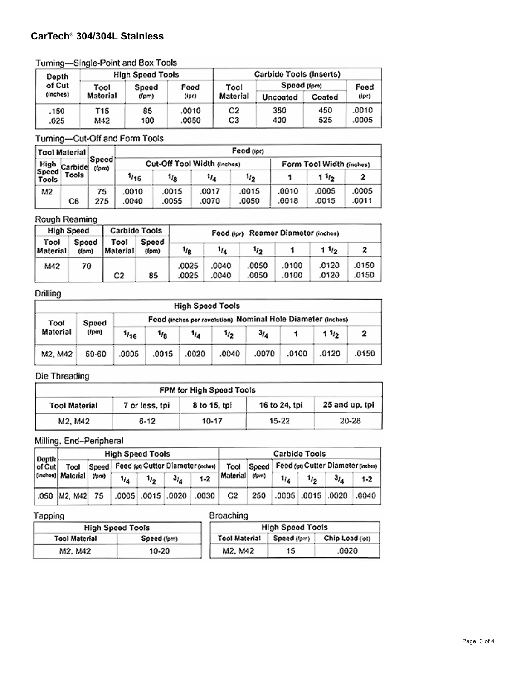# CarTech<sup>®</sup> 304/304L Stainless

### Turning-Single-Point and Box Tools

| Depth        |            | <b>High Speed Tools</b> |                | Carbide Tools (Inserts) |             |            |                |  |  |
|--------------|------------|-------------------------|----------------|-------------------------|-------------|------------|----------------|--|--|
| of Cut       | Tool       | Speed                   | Food           | Tool                    | Spood (fem) | Feed       |                |  |  |
| (inches)     | Material   | (fpm)                   | (ipr)          | Matorial                | Uncoated    | Coated     | (ipr)          |  |  |
| .150<br>.025 | T15<br>M42 | 85<br>100               | .0010<br>.0050 | C2<br>C3                | 350<br>400  | 450<br>525 | .0010<br>.0005 |  |  |

# Turning-Cut-Off and Form Tools

|                                            | <b>Tool Material</b> |                             |       |          |       | Feed (ipr)               |       |                  |       |
|--------------------------------------------|----------------------|-----------------------------|-------|----------|-------|--------------------------|-------|------------------|-------|
| High<br>Carbide<br>Speed<br>Tools<br>Tools | Speed <br>(fpm)      | Cut-Off Tool Width (inches) |       |          |       | Form Tool Width (inches) |       |                  |       |
|                                            |                      |                             | 1/16  | $1_{18}$ | 114   | 1/2                      |       | 11 <sub>12</sub> |       |
| м2                                         |                      | 75                          | .0010 | .0015    | .0017 | .0015                    | .0010 | .0005            | .0005 |
|                                            | C6                   | 275                         | .0040 | .0055    | .0070 | .0050                    | .0018 | .0015            | .0011 |

### Rough Reaming

|                  | <b>High Speed</b> |                  | Carbide Tools  | Food (ipr) Reamer Diameter (inches) |                |                     |                |                |                |
|------------------|-------------------|------------------|----------------|-------------------------------------|----------------|---------------------|----------------|----------------|----------------|
| Tool<br>Material | Speed<br>(fpm)    | Tool<br>Material | Speed<br>(fom) | 1/8                                 | $\eta_{\rm A}$ | 1 $1/2$<br>$1_{12}$ |                |                |                |
| M42              | 70                | C2               | 85             | .0025<br>.0025                      | .0040<br>.0040 | 0050<br>.0050       | .0100<br>.0100 | .0120<br>.0120 | .0150<br>.0150 |

# Drilling

|                 | <b>High Speed Tools</b> |       |                 |       |                                                             |           |       |                  |       |  |  |
|-----------------|-------------------------|-------|-----------------|-------|-------------------------------------------------------------|-----------|-------|------------------|-------|--|--|
| Tool            | Speed                   |       |                 |       | Feed (inches per revolution) Nominal Hole Diameter (inches) |           |       |                  |       |  |  |
| <b>Material</b> | (Ipm)                   | 1/16  | 1/ <sub>8</sub> | 1/4   | 1⁄2                                                         | $3_{I_A}$ |       | 11 <sub>12</sub> |       |  |  |
| M2, M42         | 50-60                   | .0005 | .0015           | .0020 | .0040                                                       | .0070     | .0100 | .0120            | .0150 |  |  |

# Die Threading

| FPM for High Speed Tools |                |              |               |                |  |  |  |  |  |
|--------------------------|----------------|--------------|---------------|----------------|--|--|--|--|--|
| <b>Tool Material</b>     | 7 or loss, tpi | 8 to 15, tpl | 16 to 24, tpi | 25 and up, tpi |  |  |  |  |  |
| M2, M42                  | 6-12           | 10-17        | 15-22         | 20-28          |  |  |  |  |  |

# Milling, End-Peripheral

| $\vert$ Depth $\vert$<br>$ $ of Cut | <b>High Speed Tools</b>   |       |     |           |           |                                 |          | Carbide Tools                                                                              |          |           |                            |                      |
|-------------------------------------|---------------------------|-------|-----|-----------|-----------|---------------------------------|----------|--------------------------------------------------------------------------------------------|----------|-----------|----------------------------|----------------------|
|                                     | Tool<br>(inches) Material |       |     |           |           |                                 |          | Speed   Feed (pg Cutter Diameter (nches)   Tool   Speed   Feed (pg Cutter Diameter (nches) |          |           |                            |                      |
|                                     |                           | (fpm) | 1/4 | $1_{i_2}$ | $3_{l_A}$ | $1 - 2$                         | Material | (fpm)                                                                                      | $1_{14}$ | $1_{i_2}$ | 3 <sub>I<sub>A</sub></sub> | 1-2                  |
|                                     | 050  M2, M42  75          |       |     |           |           | $.0005$ $.0015$ $.0020$ $.0030$ | C2       | 250                                                                                        |          |           |                            | .0005 0015 0020 0040 |

### pning

| Broaching |
|-----------|
|           |

| <b>High Speed Tools</b> |             |               | <b>High Speed Tools</b> |                |
|-------------------------|-------------|---------------|-------------------------|----------------|
| <b>Tool Material</b>    | Speed (fpm) | Tool Material | Speed (fam)             | Chio Load (pt) |
| M2. M42                 | 10-20       | M2, M42       | 15                      | .0020          |